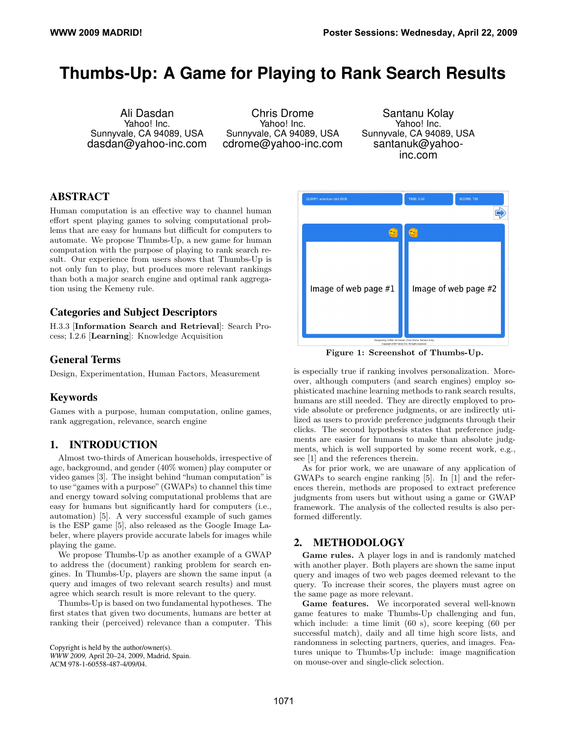# **Thumbs-Up: A Game for Playing to Rank Search Results**

Ali Dasdan Yahoo! Inc. Sunnyvale, CA 94089, USA dasdan@yahoo-inc.com

Chris Drome Yahoo! Inc. Sunnyvale, CA 94089, USA cdrome@yahoo-inc.com

Santanu Kolay Yahoo! Inc. Sunnyvale, CA 94089, USA santanuk@yahooinc.com

## ABSTRACT

Human computation is an effective way to channel human effort spent playing games to solving computational problems that are easy for humans but difficult for computers to automate. We propose Thumbs-Up, a new game for human computation with the purpose of playing to rank search result. Our experience from users shows that Thumbs-Up is not only fun to play, but produces more relevant rankings than both a major search engine and optimal rank aggregation using the Kemeny rule.

## Categories and Subject Descriptors

H.3.3 [Information Search and Retrieval]: Search Process; I.2.6 [Learning]: Knowledge Acquisition

## General Terms

Design, Experimentation, Human Factors, Measurement

## Keywords

Games with a purpose, human computation, online games, rank aggregation, relevance, search engine

## 1. INTRODUCTION

Almost two-thirds of American households, irrespective of age, background, and gender (40% women) play computer or video games [3]. The insight behind "human computation"is to use "games with a purpose" (GWAPs) to channel this time and energy toward solving computational problems that are easy for humans but significantly hard for computers (i.e., automation) [5]. A very successful example of such games is the ESP game [5], also released as the Google Image Labeler, where players provide accurate labels for images while playing the game.

We propose Thumbs-Up as another example of a GWAP to address the (document) ranking problem for search engines. In Thumbs-Up, players are shown the same input (a query and images of two relevant search results) and must agree which search result is more relevant to the query.

Thumbs-Up is based on two fundamental hypotheses. The first states that given two documents, humans are better at ranking their (perceived) relevance than a computer. This

Copyright is held by the author/owner(s). *WWW 2009,* April 20–24, 2009, Madrid, Spain. ACM 978-1-60558-487-4/09/04.



Figure 1: Screenshot of Thumbs-Up.

is especially true if ranking involves personalization. Moreover, although computers (and search engines) employ sophisticated machine learning methods to rank search results, humans are still needed. They are directly employed to provide absolute or preference judgments, or are indirectly utilized as users to provide preference judgments through their clicks. The second hypothesis states that preference judgments are easier for humans to make than absolute judgments, which is well supported by some recent work, e.g., see [1] and the references therein.

As for prior work, we are unaware of any application of GWAPs to search engine ranking [5]. In [1] and the references therein, methods are proposed to extract preference judgments from users but without using a game or GWAP framework. The analysis of the collected results is also performed differently.

## 2. METHODOLOGY

Game rules. A player logs in and is randomly matched with another player. Both players are shown the same input query and images of two web pages deemed relevant to the query. To increase their scores, the players must agree on the same page as more relevant.

Game features. We incorporated several well-known game features to make Thumbs-Up challenging and fun, which include: a time limit (60 s), score keeping (60 per successful match), daily and all time high score lists, and randomness in selecting partners, queries, and images. Features unique to Thumbs-Up include: image magnification on mouse-over and single-click selection.